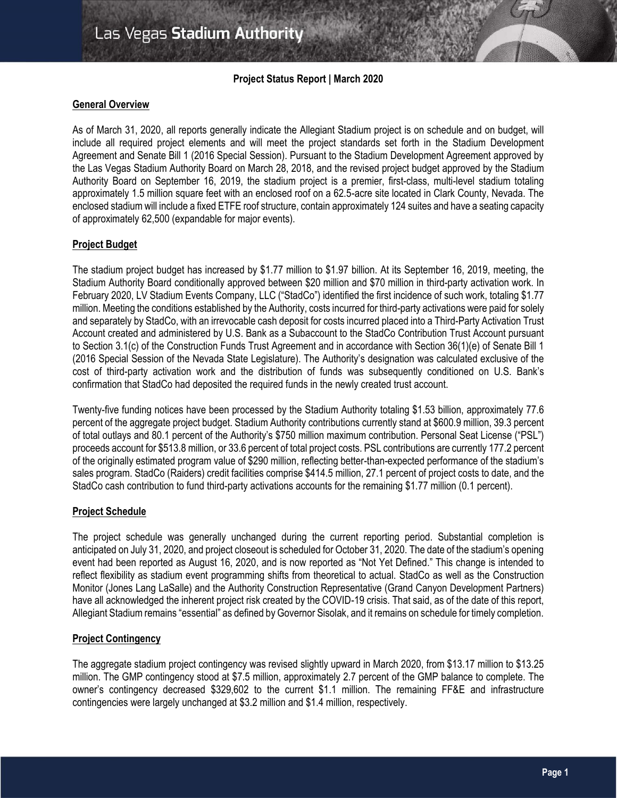## **Project Status Report | March 2020**

## **General Overview**

As of March 31, 2020, all reports generally indicate the Allegiant Stadium project is on schedule and on budget, will include all required project elements and will meet the project standards set forth in the Stadium Development Agreement and Senate Bill 1 (2016 Special Session). Pursuant to the Stadium Development Agreement approved by the Las Vegas Stadium Authority Board on March 28, 2018, and the revised project budget approved by the Stadium Authority Board on September 16, 2019, the stadium project is a premier, first-class, multi-level stadium totaling approximately 1.5 million square feet with an enclosed roof on a 62.5-acre site located in Clark County, Nevada. The enclosed stadium will include a fixed ETFE roof structure, contain approximately 124 suites and have a seating capacity of approximately 62,500 (expandable for major events).

## **Project Budget**

The stadium project budget has increased by \$1.77 million to \$1.97 billion. At its September 16, 2019, meeting, the Stadium Authority Board conditionally approved between \$20 million and \$70 million in third-party activation work. In February 2020, LV Stadium Events Company, LLC ("StadCo") identified the first incidence of such work, totaling \$1.77 million. Meeting the conditions established by the Authority, costs incurred for third-party activations were paid for solely and separately by StadCo, with an irrevocable cash deposit for costs incurred placed into a Third-Party Activation Trust Account created and administered by U.S. Bank as a Subaccount to the StadCo Contribution Trust Account pursuant to Section 3.1(c) of the Construction Funds Trust Agreement and in accordance with Section 36(1)(e) of Senate Bill 1 (2016 Special Session of the Nevada State Legislature). The Authority's designation was calculated exclusive of the cost of third-party activation work and the distribution of funds was subsequently conditioned on U.S. Bank's confirmation that StadCo had deposited the required funds in the newly created trust account.

Twenty-five funding notices have been processed by the Stadium Authority totaling \$1.53 billion, approximately 77.6 percent of the aggregate project budget. Stadium Authority contributions currently stand at \$600.9 million, 39.3 percent of total outlays and 80.1 percent of the Authority's \$750 million maximum contribution. Personal Seat License ("PSL") proceeds account for \$513.8 million, or 33.6 percent of total project costs. PSL contributions are currently 177.2 percent of the originally estimated program value of \$290 million, reflecting better-than-expected performance of the stadium's sales program. StadCo (Raiders) credit facilities comprise \$414.5 million, 27.1 percent of project costs to date, and the StadCo cash contribution to fund third-party activations accounts for the remaining \$1.77 million (0.1 percent).

## **Project Schedule**

The project schedule was generally unchanged during the current reporting period. Substantial completion is anticipated on July 31, 2020, and project closeout is scheduled for October 31, 2020. The date of the stadium's opening event had been reported as August 16, 2020, and is now reported as "Not Yet Defined." This change is intended to reflect flexibility as stadium event programming shifts from theoretical to actual. StadCo as well as the Construction Monitor (Jones Lang LaSalle) and the Authority Construction Representative (Grand Canyon Development Partners) have all acknowledged the inherent project risk created by the COVID-19 crisis. That said, as of the date of this report, Allegiant Stadium remains "essential" as defined by Governor Sisolak, and it remains on schedule for timely completion.

## **Project Contingency**

The aggregate stadium project contingency was revised slightly upward in March 2020, from \$13.17 million to \$13.25 million. The GMP contingency stood at \$7.5 million, approximately 2.7 percent of the GMP balance to complete. The owner's contingency decreased \$329,602 to the current \$1.1 million. The remaining FF&E and infrastructure contingencies were largely unchanged at \$3.2 million and \$1.4 million, respectively.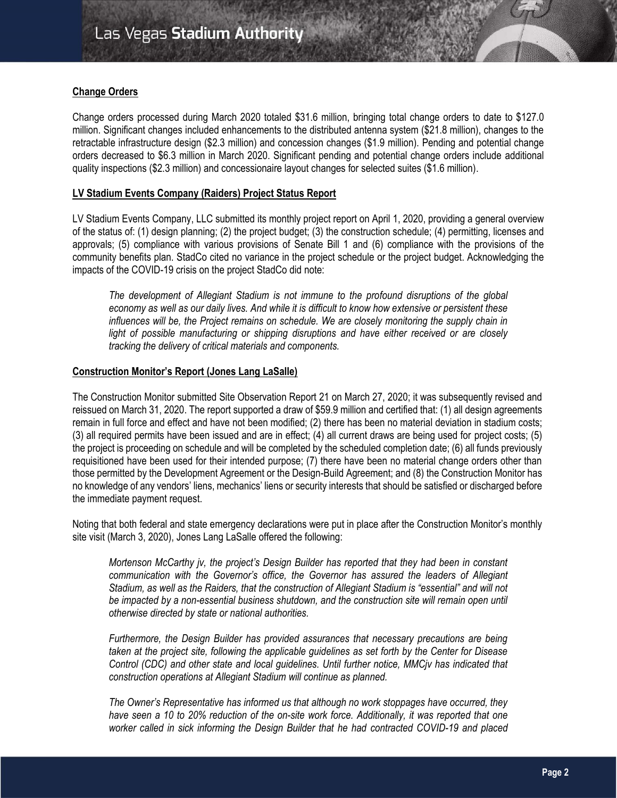## **Change Orders**

Change orders processed during March 2020 totaled \$31.6 million, bringing total change orders to date to \$127.0 million. Significant changes included enhancements to the distributed antenna system (\$21.8 million), changes to the retractable infrastructure design (\$2.3 million) and concession changes (\$1.9 million). Pending and potential change orders decreased to \$6.3 million in March 2020. Significant pending and potential change orders include additional quality inspections (\$2.3 million) and concessionaire layout changes for selected suites (\$1.6 million).

## **LV Stadium Events Company (Raiders) Project Status Report**

LV Stadium Events Company, LLC submitted its monthly project report on April 1, 2020, providing a general overview of the status of: (1) design planning; (2) the project budget; (3) the construction schedule; (4) permitting, licenses and approvals; (5) compliance with various provisions of Senate Bill 1 and (6) compliance with the provisions of the community benefits plan. StadCo cited no variance in the project schedule or the project budget. Acknowledging the impacts of the COVID-19 crisis on the project StadCo did note:

*The development of Allegiant Stadium is not immune to the profound disruptions of the global economy as well as our daily lives. And while it is difficult to know how extensive or persistent these influences will be, the Project remains on schedule. We are closely monitoring the supply chain in* light of possible manufacturing or shipping disruptions and have either received or are closely *tracking the delivery of critical materials and components.*

## **Construction Monitor's Report (Jones Lang LaSalle)**

The Construction Monitor submitted Site Observation Report 21 on March 27, 2020; it was subsequently revised and reissued on March 31, 2020. The report supported a draw of \$59.9 million and certified that: (1) all design agreements remain in full force and effect and have not been modified; (2) there has been no material deviation in stadium costs; (3) all required permits have been issued and are in effect; (4) all current draws are being used for project costs; (5) the project is proceeding on schedule and will be completed by the scheduled completion date; (6) all funds previously requisitioned have been used for their intended purpose; (7) there have been no material change orders other than those permitted by the Development Agreement or the Design-Build Agreement; and (8) the Construction Monitor has no knowledge of any vendors' liens, mechanics' liens or security interests that should be satisfied or discharged before the immediate payment request.

Noting that both federal and state emergency declarations were put in place after the Construction Monitor's monthly site visit (March 3, 2020), Jones Lang LaSalle offered the following:

*Mortenson McCarthy jv, the project's Design Builder has reported that they had been in constant communication with the Governor's office, the Governor has assured the leaders of Allegiant Stadium, as well as the Raiders, that the construction of Allegiant Stadium is "essential" and will not be impacted by a non-essential business shutdown, and the construction site will remain open until otherwise directed by state or national authorities.*

*Furthermore, the Design Builder has provided assurances that necessary precautions are being taken at the project site, following the applicable guidelines as set forth by the Center for Disease Control (CDC) and other state and local guidelines. Until further notice, MMCjv has indicated that construction operations at Allegiant Stadium will continue as planned.*

*The Owner's Representative has informed us that although no work stoppages have occurred, they have seen a 10 to 20% reduction of the on-site work force. Additionally, it was reported that one worker called in sick informing the Design Builder that he had contracted COVID-19 and placed*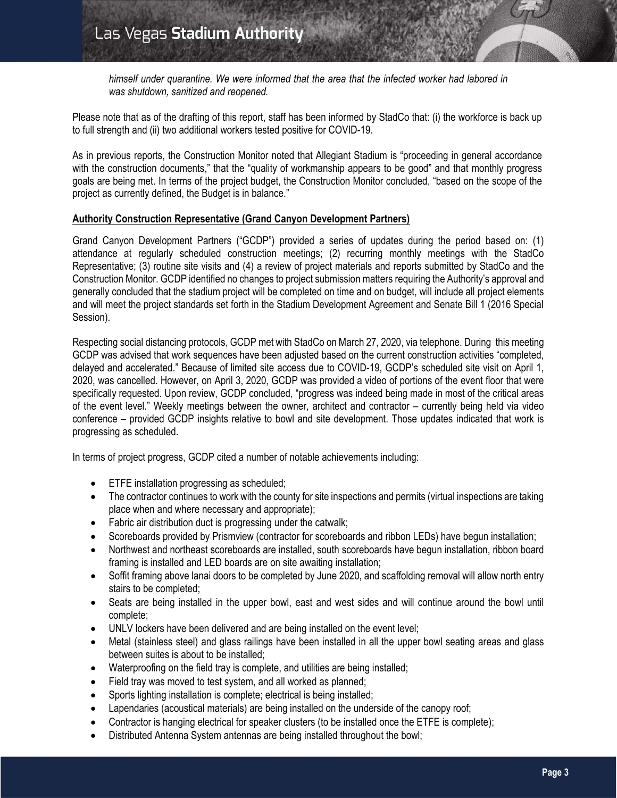*himself under quarantine. We were informed that the area that the infected worker had labored in was shutdown, sanitized and reopened.*

Please note that as of the drafting of this report, staff has been informed by StadCo that: (i) the workforce is back up to full strength and (ii) two additional workers tested positive for COVID-19.

As in previous reports, the Construction Monitor noted that Allegiant Stadium is "proceeding in general accordance with the construction documents," that the "quality of workmanship appears to be good" and that monthly progress goals are being met. In terms of the project budget, the Construction Monitor concluded, "based on the scope of the project as currently defined, the Budget is in balance."

## **Authority Construction Representative (Grand Canyon Development Partners)**

Grand Canyon Development Partners ("GCDP") provided a series of updates during the period based on: (1) attendance at regularly scheduled construction meetings; (2) recurring monthly meetings with the StadCo Representative; (3) routine site visits and (4) a review of project materials and reports submitted by StadCo and the Construction Monitor. GCDP identified no changes to project submission matters requiring the Authority's approval and generally concluded that the stadium project will be completed on time and on budget, will include all project elements and will meet the project standards set forth in the Stadium Development Agreement and Senate Bill 1 (2016 Special Session).

Respecting social distancing protocols, GCDP met with StadCo on March 27, 2020, via telephone. During this meeting GCDP was advised that work sequences have been adjusted based on the current construction activities "completed, delayed and accelerated." Because of limited site access due to COVID-19, GCDP's scheduled site visit on April 1, 2020, was cancelled. However, on April 3, 2020, GCDP was provided a video of portions of the event floor that were specifically requested. Upon review, GCDP concluded, "progress was indeed being made in most of the critical areas of the event level." Weekly meetings between the owner, architect and contractor – currently being held via video conference – provided GCDP insights relative to bowl and site development. Those updates indicated that work is progressing as scheduled.

In terms of project progress, GCDP cited a number of notable achievements including:

- **ETFE** installation progressing as scheduled;
- The contractor continues to work with the county for site inspections and permits (virtual inspections are taking place when and where necessary and appropriate);
- Fabric air distribution duct is progressing under the catwalk;
- Scoreboards provided by Prismview (contractor for scoreboards and ribbon LEDs) have begun installation;
- Northwest and northeast scoreboards are installed, south scoreboards have begun installation, ribbon board framing is installed and LED boards are on site awaiting installation;
- Soffit framing above lanai doors to be completed by June 2020, and scaffolding removal will allow north entry stairs to be completed;
- Seats are being installed in the upper bowl, east and west sides and will continue around the bowl until complete;
- UNLV lockers have been delivered and are being installed on the event level;
- Metal (stainless steel) and glass railings have been installed in all the upper bowl seating areas and glass between suites is about to be installed;
- Waterproofing on the field tray is complete, and utilities are being installed;
- Field tray was moved to test system, and all worked as planned;
- Sports lighting installation is complete; electrical is being installed;
- Lapendaries (acoustical materials) are being installed on the underside of the canopy roof;
- Contractor is hanging electrical for speaker clusters (to be installed once the ETFE is complete);
- Distributed Antenna System antennas are being installed throughout the bowl;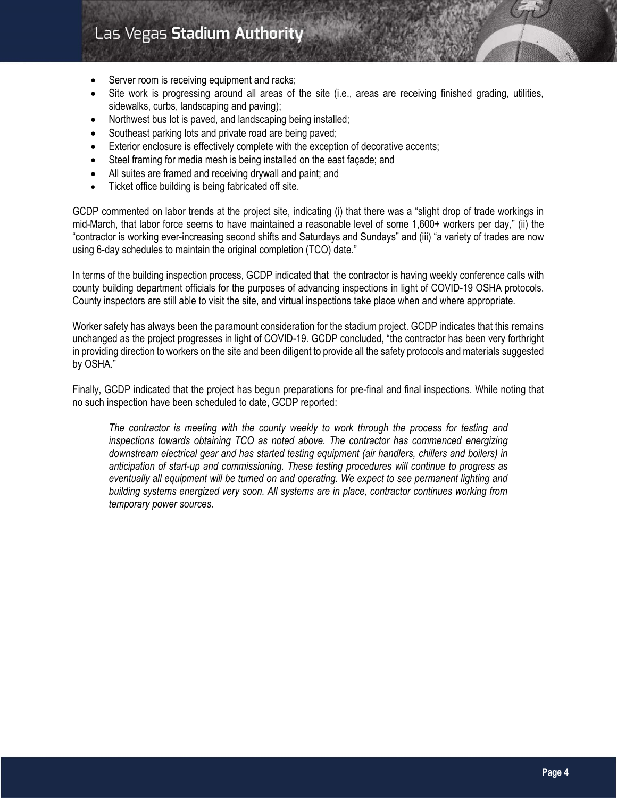# Las Vegas Stadium Authority

- Server room is receiving equipment and racks;
- Site work is progressing around all areas of the site (i.e., areas are receiving finished grading, utilities, sidewalks, curbs, landscaping and paving);
- Northwest bus lot is paved, and landscaping being installed;
- Southeast parking lots and private road are being paved;
- Exterior enclosure is effectively complete with the exception of decorative accents;
- Steel framing for media mesh is being installed on the east façade; and
- All suites are framed and receiving drywall and paint; and
- Ticket office building is being fabricated off site.

GCDP commented on labor trends at the project site, indicating (i) that there was a "slight drop of trade workings in mid-March, that labor force seems to have maintained a reasonable level of some 1,600+ workers per day," (ii) the "contractor is working ever-increasing second shifts and Saturdays and Sundays" and (iii) "a variety of trades are now using 6-day schedules to maintain the original completion (TCO) date."

In terms of the building inspection process, GCDP indicated that the contractor is having weekly conference calls with county building department officials for the purposes of advancing inspections in light of COVID-19 OSHA protocols. County inspectors are still able to visit the site, and virtual inspections take place when and where appropriate.

Worker safety has always been the paramount consideration for the stadium project. GCDP indicates that this remains unchanged as the project progresses in light of COVID-19. GCDP concluded, "the contractor has been very forthright in providing direction to workers on the site and been diligent to provide all the safety protocols and materials suggested by OSHA."

Finally, GCDP indicated that the project has begun preparations for pre-final and final inspections. While noting that no such inspection have been scheduled to date, GCDP reported:

*The contractor is meeting with the county weekly to work through the process for testing and inspections towards obtaining TCO as noted above. The contractor has commenced energizing downstream electrical gear and has started testing equipment (air handlers, chillers and boilers) in anticipation of start-up and commissioning. These testing procedures will continue to progress as eventually all equipment will be turned on and operating. We expect to see permanent lighting and building systems energized very soon. All systems are in place, contractor continues working from temporary power sources.*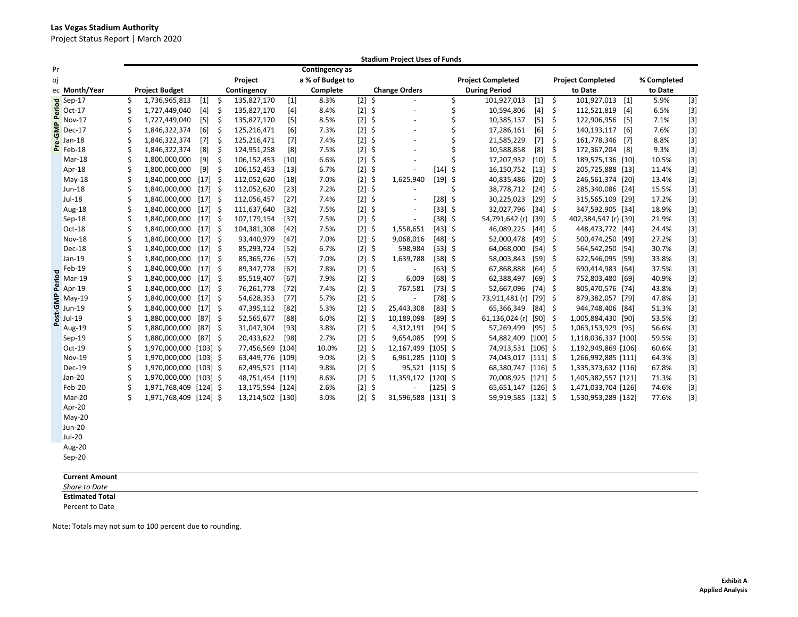#### **Las Vegas Stadium Authority**

Project Status Report | March 2020

|                          |                       | <b>Stadium Project Uses of Funds</b> |                        |            |             |                  |        |                  |             |         |                          |            |                          |                        |            |    |                          |         |             |             |
|--------------------------|-----------------------|--------------------------------------|------------------------|------------|-------------|------------------|--------|------------------|-------------|---------|--------------------------|------------|--------------------------|------------------------|------------|----|--------------------------|---------|-------------|-------------|
| Pr                       |                       |                                      |                        |            |             |                  |        | Contingency as   |             |         |                          |            |                          |                        |            |    |                          |         |             |             |
| οj                       |                       |                                      |                        |            |             | Project          |        | a % of Budget to |             |         |                          |            | <b>Project Completed</b> |                        |            |    | <b>Project Completed</b> |         | % Completed |             |
|                          | ec Month/Year         | <b>Project Budget</b>                |                        |            | Contingency |                  |        | Complete         |             |         | <b>Change Orders</b>     |            |                          | <b>During Period</b>   | to Date    |    |                          | to Date |             |             |
|                          | $Sep-17$              | \$                                   | 1,736,965,813          | $[1]$      | \$          | 135,827,170      | $[1]$  | 8.3%             | $\boxed{2}$ | $\zeta$ | $\overline{\phantom{a}}$ |            | \$                       | 101,927,013            | $[1]$      | \$ | 101,927,013              | $[1]$   | 5.9%        | $\boxed{3}$ |
| Period                   | Oct-17                | Ś.                                   | 1,727,449,040          | $[4]$      | \$          | 135,827,170      | $[4]$  | 8.4%             | $[2]$ \$    |         | ÷,                       |            | \$                       | 10,594,806             | $[4]$      | \$ | 112,521,819              | $[4]$   | 6.5%        | $[3]$       |
| $\Omega$                 | Nov-17                | Ś                                    | 1,727,449,040          | $[5]$      | -\$         | 135,827,170      | [5]    | 8.5%             | $[2]$ \$    |         |                          |            | \$                       | 10,385,137             | $[5]$      | \$ | 122,906,956              | [5]     | 7.1%        | $[3]$       |
| $\bar{\bar{\mathbf{S}}}$ | Dec-17                | \$                                   | 1,846,322,374          | [6]        | \$          | 125,216,471      | [6]    | 7.3%             | $[2]$ \$    |         |                          |            | \$                       | 17,286,161             | [6]        | \$ | 140,193,117              | $[6]$   | 7.6%        | $[3]$       |
|                          | $Jan-18$              | Ś                                    | 1,846,322,374          | $[7]$      | \$          | 125,216,471      | $[7]$  | 7.4%             | $[2]$       | \$      |                          |            | Ś                        | 21,585,229             | $[7]$      | \$ | 161,778,346              | $[7]$   | 8.8%        | $[3]$       |
|                          | $\frac{1}{2}$ Jan-18  | Ś                                    | 1,846,322,374          | [8]        | \$          | 124,951,258      | [8]    | 7.5%             | $[2]$       | \$      | ÷.                       |            | Ś                        | 10,588,858             | [8]        | \$ | 172,367,204 [8]          |         | 9.3%        | $[3]$       |
|                          | Mar-18                | \$                                   | 1,800,000,000          | $[9]$      | -\$         | 106,152,453      | $[10]$ | 6.6%             | $[2]$       | \$      |                          |            | \$                       | 17,207,932             | $[10]$ \$  |    | 189,575,136 [10]         |         | 10.5%       | $[3]$       |
|                          | Apr-18                | \$                                   | 1,800,000,000          | $[9]$      | \$          | 106,152,453      | $[13]$ | 6.7%             | $[2]$ \$    |         |                          | $[14]$ \$  |                          | 16,150,752             | $[13]$ \$  |    | 205,725,888 [13]         |         | 11.4%       | $[3]$       |
|                          | $May-18$              | Ś.                                   | 1,840,000,000          | $[17]$ \$  |             | 112,052,620      | $[18]$ | 7.0%             | $[2]$ \$    |         | 1,625,940                | $[19]$ \$  |                          | 40,835,486             | $[20]$ \$  |    | 246,561,374 [20]         |         | 13.4%       | $[3]$       |
|                          | $Jun-18$              | Ś                                    | 1,840,000,000          | $[17]$ \$  |             | 112,052,620      | $[23]$ | 7.2%             | $[2]$ \$    |         |                          |            | Ś                        | 38,778,712 [24] \$     |            |    | 285,340,086 [24]         |         | 15.5%       | $[3]$       |
|                          | $Jul-18$              | Ś.                                   | 1,840,000,000          | $[17]$ \$  |             | 112,056,457      | $[27]$ | 7.4%             | $[2]$ \$    |         |                          | $[28]$ \$  |                          | 30,225,023             | $[29]$ \$  |    | 315,565,109 [29]         |         | 17.2%       | $[3]$       |
|                          | Aug-18                | \$                                   | 1,840,000,000          | $[17]$ \$  |             | 111,637,640      | $[32]$ | 7.5%             | $[2]$ \$    |         |                          | $[33]$ \$  |                          | 32,027,796             | $[34]$ \$  |    | 347,592,905 [34]         |         | 18.9%       | $[3]$       |
|                          | Sep-18                | Ś                                    | 1,840,000,000          | $[17]$ \$  |             | 107,179,154      | $[37]$ | 7.5%             | $[2]$ \$    |         | $\overline{\phantom{a}}$ | $[38]$ \$  |                          | 54,791,642 (r) [39] \$ |            |    | 402,384,547 (r) [39]     |         | 21.9%       | $[3]$       |
|                          | Oct-18                | Ś                                    | 1,840,000,000          | $[17]$ \$  |             | 104,381,308      | $[42]$ | 7.5%             | $[2]$ \$    |         | 1,558,651                | $[43]$ \$  |                          | 46,089,225             | $[44]$ \$  |    | 448,473,772 [44]         |         | 24.4%       | $[3]$       |
|                          | <b>Nov-18</b>         | Ś                                    | 1,840,000,000          | $[17]$ \$  |             | 93,440,979       | $[47]$ | 7.0%             | $[2]$ \$    |         | 9,068,016                | $[48]$ \$  |                          | 52,000,478             | $[49]$ \$  |    | 500,474,250 [49]         |         | 27.2%       | $[3]$       |
|                          | Dec-18                | Ś                                    | 1,840,000,000          | $[17]$ \$  |             | 85,293,724       | $[52]$ | 6.7%             | $[2]$ \$    |         | 598,984                  | $[53]$ \$  |                          | 64,068,000             | $[54]$ \$  |    | 564,542,250 [54]         |         | 30.7%       | $[3]$       |
|                          | Jan-19                | Ś.                                   | 1,840,000,000          | $[17]$ \$  |             | 85,365,726       | $[57]$ | 7.0%             | $[2]$ \$    |         | 1,639,788                | $[58]$ \$  |                          | 58,003,843             | $[59]$ \$  |    | 622,546,095 [59]         |         | 33.8%       | $[3]$       |
| $\overline{\mathbf{c}}$  | Feb-19                | Ś                                    | 1,840,000,000          | $[17]$ \$  |             | 89,347,778       | $[62]$ | 7.8%             | $[2]$ \$    |         |                          | $[63]$ \$  |                          | 67,868,888             | $[64]$ \$  |    | 690,414,983 [64]         |         | 37.5%       | $[3]$       |
| 은                        | Mar-19                | Ś.                                   | 1,840,000,000          | $[17]$ \$  |             | 85,519,407       | $[67]$ | 7.9%             | $[2]$ \$    |         | 6,009                    | $[68]$ \$  |                          | 62,388,497             | $[69]$ \$  |    | 752,803,480 [69]         |         | 40.9%       | $[3]$       |
|                          | $2$ Apr-19            | \$                                   | 1,840,000,000          | $[17]$ \$  |             | 76,261,778       | $[72]$ | 7.4%             | $[2]$ \$    |         | 767,581                  | $[73]$ \$  |                          | 52,667,096             | $[74]$ \$  |    | 805,470,576 [74]         |         | 43.8%       | $[3]$       |
| <b>GMP</b>               | $May-19$              | \$                                   | 1,840,000,000          | $[17]$ \$  |             | 54,628,353       | $[77]$ | 5.7%             | $[2]$ \$    |         | $\overline{\phantom{a}}$ | $[78]$ \$  |                          | 73,911,481 (r) [79] \$ |            |    | 879,382,057 [79]         |         | 47.8%       | $[3]$       |
|                          | <b>Jun-19</b>         | Ś                                    | 1,840,000,000          | $[17]$ \$  |             | 47,395,112       | $[82]$ | 5.3%             | $[2]$ \$    |         | 25,443,308               | $[83]$ \$  |                          | 65,366,349             | $[84]$ \$  |    | 944,748,406 [84]         |         | 51.3%       | $[3]$       |
| Post                     | Jul-19                | Ś.                                   | 1,880,000,000          | $[87]$ \$  |             | 52,565,677       | $[88]$ | 6.0%             | $[2]$ \$    |         | 10,189,098               | $[89]$ \$  |                          | 61,136,024 (r) [90] \$ |            |    | 1,005,884,430 [90]       |         | 53.5%       | $[3]$       |
|                          | Aug-19                | \$                                   | 1,880,000,000          | $[87]$ \$  |             | 31,047,304       | $[93]$ | 3.8%             | $[2]$ \$    |         | 4,312,191                | $[94]$ \$  |                          | 57,269,499             | $[95]$ \$  |    | 1,063,153,929 [95]       |         | 56.6%       | $[3]$       |
|                          | $Sep-19$              | Ś                                    | 1,880,000,000          | $[87]$ \$  |             | 20,433,622       | [98]   | 2.7%             | $[2]$ \$    |         | 9,654,085                | $[99]$ \$  |                          | 54,882,409             | $[100]$ \$ |    | 1,118,036,337 [100]      |         | 59.5%       | $[3]$       |
|                          | Oct-19                | Ś                                    | 1,970,000,000          | $[103]$ \$ |             | 77,456,569 [104] |        | 10.0%            | $[2]$ \$    |         | 12,167,499 [105] \$      |            |                          | 74,913,531 [106] \$    |            |    | 1,192,949,869 [106]      |         | 60.6%       | $[3]$       |
|                          | Nov-19                | Ś.                                   | 1,970,000,000 [103] \$ |            |             | 63,449,776 [109] |        | 9.0%             | $[2]$ \$    |         | 6,961,285 [110] \$       |            |                          | 74,043,017 [111] \$    |            |    | 1,266,992,885 [111]      |         | 64.3%       | $[3]$       |
|                          | Dec-19                | \$                                   | 1,970,000,000          | $[103]$ \$ |             | 62,495,571 [114] |        | 9.8%             | $[2]$ \$    |         | 95,521 [115] \$          |            |                          | 68,380,747 [116] \$    |            |    | 1,335,373,632 [116]      |         | 67.8%       | $[3]$       |
|                          | $Jan-20$              | Ś.                                   | 1,970,000,000          | $[103]$ \$ |             | 48,751,454 [119] |        | 8.6%             | $[2]$       | \$      | 11,359,172 [120] \$      |            |                          | 70,008,925             | $[121]$ \$ |    | 1,405,382,557 [121]      |         | 71.3%       | $[3]$       |
|                          | Feb-20                | Ś                                    | 1,971,768,409 [124] \$ |            |             | 13,175,594 [124] |        | 2.6%             | $[2]$ \$    |         |                          | $[125]$ \$ |                          | $65,651,147$ [126] \$  |            |    | 1,471,033,704 [126]      |         | 74.6%       | $[3]$       |
|                          | Mar-20                | Ś.                                   | 1,971,768,409 [124] \$ |            |             | 13,214,502 [130] |        | 3.0%             | $[2]$ \$    |         | 31,596,588 [131] \$      |            |                          | 59,919,585 [132] \$    |            |    | 1,530,953,289 [132]      |         | 77.6%       | $[3]$       |
|                          | Apr-20                |                                      |                        |            |             |                  |        |                  |             |         |                          |            |                          |                        |            |    |                          |         |             |             |
|                          | $May-20$              |                                      |                        |            |             |                  |        |                  |             |         |                          |            |                          |                        |            |    |                          |         |             |             |
|                          | Jun-20                |                                      |                        |            |             |                  |        |                  |             |         |                          |            |                          |                        |            |    |                          |         |             |             |
|                          | $Jul-20$              |                                      |                        |            |             |                  |        |                  |             |         |                          |            |                          |                        |            |    |                          |         |             |             |
|                          | Aug-20                |                                      |                        |            |             |                  |        |                  |             |         |                          |            |                          |                        |            |    |                          |         |             |             |
|                          | Sep-20                |                                      |                        |            |             |                  |        |                  |             |         |                          |            |                          |                        |            |    |                          |         |             |             |
|                          |                       |                                      |                        |            |             |                  |        |                  |             |         |                          |            |                          |                        |            |    |                          |         |             |             |
|                          | <b>Current Amount</b> |                                      |                        |            |             |                  |        |                  |             |         |                          |            |                          |                        |            |    |                          |         |             |             |

*Share to Date*

**Estimated Total**

Percent to Date

Note: Totals may not sum to 100 percent due to rounding.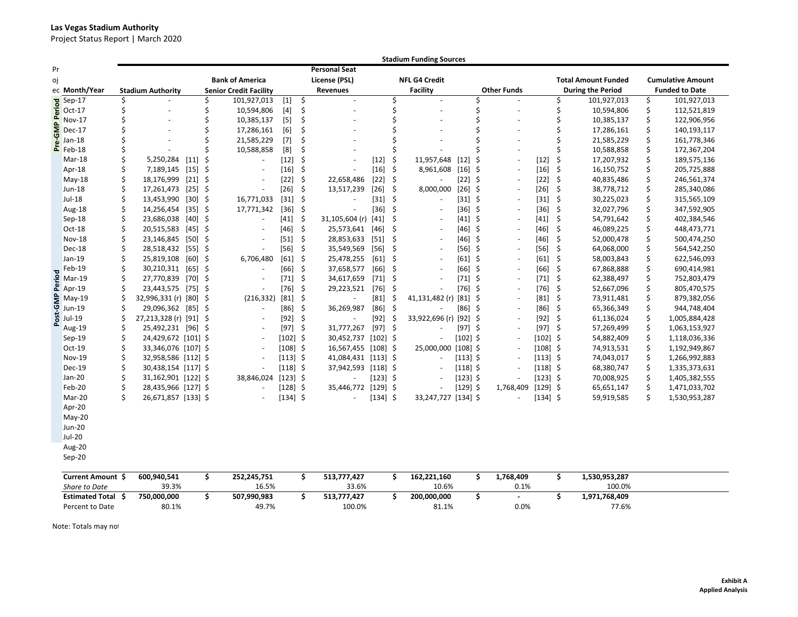#### **Las Vegas Stadium Authority**

Project Status Report | March 2020

|          |                                |    |                          |                    | <b>Stadium Funding Sources</b> |                               |            |         |                      |                      |      |                          |            |     |                    |            |                            |                          |                          |                       |
|----------|--------------------------------|----|--------------------------|--------------------|--------------------------------|-------------------------------|------------|---------|----------------------|----------------------|------|--------------------------|------------|-----|--------------------|------------|----------------------------|--------------------------|--------------------------|-----------------------|
| Pr       |                                |    |                          |                    |                                |                               |            |         | <b>Personal Seat</b> |                      |      |                          |            |     |                    |            |                            |                          |                          |                       |
| oj       |                                |    |                          |                    | <b>Bank of America</b>         |                               |            |         | License (PSL)        | <b>NFL G4 Credit</b> |      |                          |            |     |                    |            | <b>Total Amount Funded</b> |                          | <b>Cumulative Amount</b> |                       |
|          | ec Month/Year                  |    | <b>Stadium Authority</b> |                    |                                | <b>Senior Credit Facility</b> |            |         | <b>Revenues</b>      |                      |      | <b>Facility</b>          |            |     | <b>Other Funds</b> |            |                            | <b>During the Period</b> |                          | <b>Funded to Date</b> |
|          | Sep-17                         | Ś  |                          |                    | Ś                              | 101,927,013                   | $[1]$      | \$      |                      |                      | \$   |                          |            | Ś   |                    |            | Ś                          | 101,927,013              | \$                       | 101,927,013           |
| Period   | $Oct-17$                       | \$ |                          |                    | \$                             | 10,594,806                    |            | \$      |                      |                      | \$   |                          |            | \$  |                    |            | \$                         | 10,594,806               | \$                       | 112,521,819           |
| $\Omega$ | Nov-17                         | Ś  |                          |                    |                                | 10,385,137                    | $[5]$      | \$      |                      |                      | Ś    |                          |            | Ś   |                    |            | Ś                          | 10,385,137               | \$                       | 122,906,956           |
| ξ        | Dec-17                         |    |                          |                    |                                | 17,286,161                    | [6]        | \$      |                      |                      | Ś    |                          |            |     |                    |            | \$                         | 17,286,161               | \$                       | 140,193,117           |
|          | $Jan-18$                       | Ś  |                          |                    |                                | 21,585,229                    | $[7]$      | Ś       |                      |                      | Ś    |                          |            |     |                    |            | \$                         | 21,585,229               | \$                       | 161,778,346           |
|          | $E$ Feb-18                     |    |                          |                    |                                | 10,588,858                    | [8]        | Ś       |                      |                      | Ś    |                          |            |     |                    |            |                            | 10,588,858               | \$                       | 172,367,204           |
|          | Mar-18                         | Ś. | 5,250,284                | $[11]$             | Ŝ                              |                               | $[12]$     | Ś       |                      | $[12]$               | \$   | 11,957,648               | $[12]$     | Ś   |                    | $[12]$     | \$                         | 17,207,932               | \$                       | 189,575,136           |
|          | Apr-18                         | \$ | 7,189,145                | $[15]$ \$          |                                |                               | $[16]$     | \$      |                      | $[16]$               | \$   | 8,961,608                | $[16]$     | \$  |                    | $[16]$     | \$                         | 16,150,752               | \$                       | 205,725,888           |
|          | $May-18$                       | Ś. | 18,176,999               | $\lceil 21 \rceil$ | \$                             |                               | $[22]$     | \$      | 22,658,486           | [22]                 | \$   | ÷,                       | $[22]$     | \$  |                    | [22]       | \$                         | 40,835,486               | \$                       | 246,561,374           |
|          | <b>Jun-18</b>                  | \$ | 17,261,473               | $[25]$             | -\$                            |                               | $[26]$     | \$      | 13,517,239           | $[26]$               | \$   | 8,000,000                | $[26]$     | Ś.  |                    | $[26]$     | \$                         | 38,778,712               | \$                       | 285,340,086           |
|          | Jul-18                         | \$ | 13,453,990               | $[30]$ \$          |                                | 16,771,033                    | $[31]$     | \$      |                      | $[31]$               | -\$  | ä,                       | $[31]$     | \$  |                    | $[31]$     | -\$                        | 30,225,023               | \$                       | 315,565,109           |
|          | Aug-18                         | Ś  | 14,256,454               | $[35]$             | Ŝ.                             | 17,771,342                    | $[36]$     | \$      |                      | $[36]$               | \$   |                          | $[36]$     | \$  |                    | $[36]$     | \$                         | 32,027,796               | \$                       | 347,592,905           |
|          | $Sep-18$                       | Ś. | 23,686,038               | [40]               | -\$                            | $\sim$                        | $[41]$     | \$      | 31,105,604 (r)       | $[41]$               | \$   |                          | $[41]$     | \$  |                    | $[41]$     | \$                         | 54,791,642               | \$                       | 402,384,546           |
|          | Oct-18                         | \$ | 20,515,583               | $[45]$ \$          |                                |                               | $[46]$     | $\zeta$ | 25,573,641           | $[46]$               | \$   |                          | $[46]$     | \$  |                    | $[46]$     | \$                         | 46,089,225               | \$                       | 448,473,771           |
|          | <b>Nov-18</b>                  | Ś  | 23,146,845               | [50]               | -\$                            |                               | $[51]$     | \$      | 28,853,633           | $[51]$               | \$   |                          | [46]       | \$  |                    | $[46]$     | \$                         | 52,000,478               | \$                       | 500,474,250           |
|          | Dec-18                         | Ś  | 28,518,432               | $[55]$             | -\$                            |                               | $[56]$     | $\zeta$ | 35,549,569           | $[56]$               | \$   |                          | $[56]$     | \$  |                    | $[56]$     | \$                         | 64,068,000               | \$                       | 564,542,250           |
|          | Jan-19                         | Ś  | 25,819,108               | $[60]$ \$          |                                | 6,706,480                     | [61]       | \$      | 25,478,255           | $[61]$               | \$   |                          | $[61]$     | -\$ |                    | [61]       | \$                         | 58,003,843               | \$                       | 622,546,093           |
|          | Feb-19                         |    | 30,210,311               | [65]               | -\$                            |                               | [66]       | \$      | 37,658,577           | [66]                 | \$   |                          | [66]       | -\$ |                    | [66]       | \$                         | 67,868,888               | \$                       | 690,414,981           |
|          | $\frac{5}{6}$ Mar-19<br>Mar-19 | Ś  | 27,770,839               | $[70]$ \$          |                                | $\sim$                        | $[71]$     | \$      | 34,617,659           | $[71]$               | \$   |                          | $[71]$     | -\$ |                    | $[71]$     | -\$                        | 62,388,497               | \$                       | 752,803,479           |
|          |                                | \$ | 23,443,575 [75] \$       |                    |                                |                               | $[76]$     | $\zeta$ | 29,223,521           | $[76]$               | -\$  |                          | $[76]$     | \$  |                    | $[76]$     | \$                         | 52,667,096               | \$                       | 805,470,575           |
| GMP      | May-19                         | Ś  | 32,996,331 (r) [80]      |                    | -\$                            | (216, 332)                    | $[81]$     | \$      |                      | $[81]$               | \$   | 41,131,482 (r)           | $[81]$     | Ś   |                    | $[81]$     | \$                         | 73,911,481               | \$                       | 879,382,056           |
|          | Jun-19                         | \$ | 29,096,362 [85] \$       |                    |                                | $\sim$                        | [86]       | \$      | 36,269,987           | $[86]$               | \$   | L.                       | [86]       | \$  |                    | [86]       | \$                         | 65,366,349               | \$                       | 944,748,404           |
| Post     | <b>Jul-19</b>                  |    | 27,213,328 (r) [91] \$   |                    |                                |                               | $[92]$     | \$      |                      | $[92]$               | \$   | 33,922,696 (r) [92]      |            | -\$ |                    | $[92]$ \$  |                            | 61,136,024               | \$                       | 1,005,884,428         |
|          | Aug-19                         | \$ | 25,492,231 [96] \$       |                    |                                |                               | $[97]$     | \$      | 31,777,267           | $[97]$               | - \$ | ä,                       | $[97]$ \$  |     |                    | $[97]$     | -\$                        | 57,269,499               | \$                       | 1,063,153,927         |
|          | $Sep-19$                       | Ś. | 24,429,672 [101] \$      |                    |                                | $\sim$                        | $[102]$ \$ |         | 30,452,737           | $[102]$ \$           |      | $\overline{\phantom{a}}$ | [102] \$   |     |                    | $[102]$ \$ |                            | 54,882,409               | \$                       | 1,118,036,336         |
|          | Oct-19                         | \$ | 33,346,076 [107] \$      |                    |                                |                               | $[108]$ \$ |         | 16,567,455 [108] \$  |                      |      | 25,000,000 [108] \$      |            |     |                    | $[108]$ \$ |                            | 74,913,531               | \$                       | 1,192,949,867         |
|          | <b>Nov-19</b>                  | Ś. | 32,958,586 [112] \$      |                    |                                |                               | $[113]$ \$ |         | 41,084,431           | $[113]$ \$           |      | $\omega$                 | $[113]$ \$ |     |                    | $[113]$ \$ |                            | 74,043,017               | \$                       | 1,266,992,883         |
|          | Dec-19                         | Ś  | 30,438,154 [117] \$      |                    |                                |                               | $[118]$ \$ |         | 37,942,593           | $[118]$ \$           |      | ÷,                       | $[118]$ \$ |     |                    | $[118]$ \$ |                            | 68,380,747               | \$                       | 1,335,373,631         |
|          | Jan-20                         | \$ | 31,162,901 [122] \$      |                    |                                | 38,846,024                    | $[123]$ \$ |         |                      | $[123]$ \$           |      |                          | $[123]$ \$ |     |                    | $[123]$ \$ |                            | 70,008,925               | \$                       | 1,405,382,555         |
|          | Feb-20                         | Ś  | 28,435,966 [127] \$      |                    |                                | $\sim$                        | $[128]$    | \$      | 35,446,772           | $[129]$ \$           |      | $\blacksquare$           | $[129]$ \$ |     | 1,768,409          | $[129]$ \$ |                            | 65,651,147               | \$                       | 1,471,033,702         |
|          | Mar-20                         | Ś. | 26,671,857 [133] \$      |                    |                                |                               | $[134]$ \$ |         |                      | $[134]$ \$           |      | 33,247,727 [134] \$      |            |     |                    | $[134]$ \$ |                            | 59,919,585               | \$                       | 1,530,953,287         |
|          | Apr-20                         |    |                          |                    |                                |                               |            |         |                      |                      |      |                          |            |     |                    |            |                            |                          |                          |                       |
|          | $May-20$                       |    |                          |                    |                                |                               |            |         |                      |                      |      |                          |            |     |                    |            |                            |                          |                          |                       |
|          | <b>Jun-20</b>                  |    |                          |                    |                                |                               |            |         |                      |                      |      |                          |            |     |                    |            |                            |                          |                          |                       |
|          | Jul-20                         |    |                          |                    |                                |                               |            |         |                      |                      |      |                          |            |     |                    |            |                            |                          |                          |                       |
|          | Aug-20                         |    |                          |                    |                                |                               |            |         |                      |                      |      |                          |            |     |                    |            |                            |                          |                          |                       |
|          | $Sep-20$                       |    |                          |                    |                                |                               |            |         |                      |                      |      |                          |            |     |                    |            |                            |                          |                          |                       |
|          | Current Amount \$              |    | 600,940,541              |                    | \$                             | 252,245,751                   |            | \$      | 513,777,427          |                      | \$   | 162,221,160              |            | \$  | 1,768,409          |            | \$                         | 1,530,953,287            |                          |                       |
|          | Share to Date                  |    | 39.3%                    |                    |                                | 16.5%                         |            |         | 33.6%                |                      |      | 10.6%                    |            |     | 0.1%               |            |                            | 100.0%                   |                          |                       |
|          | <b>Estimated Total \$</b>      |    | 750,000,000              |                    | \$                             | 507,990,983                   |            | \$      | 513,777,427          |                      | \$   | 200,000,000              |            | \$  |                    |            | \$                         | 1,971,768,409            |                          |                       |

80.1% 49.7% 100.0% 81.1% 0.0% 77.6%

Percent to Date Note: Totals may no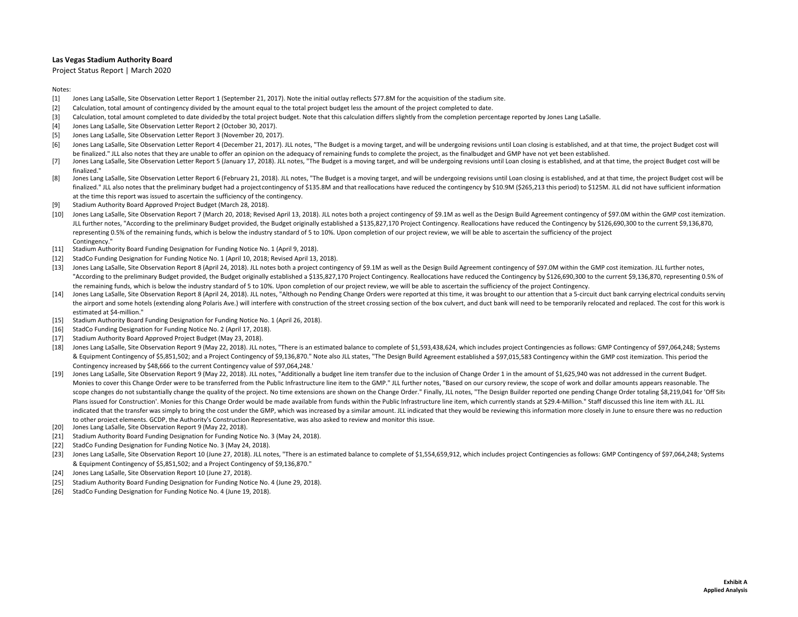Project Status Report | March 2020

#### Notes:

- $[1]$ Jones Lang LaSalle, Site Observation Letter Report <sup>1</sup> (September 21, 2017). Note the initial outlay reflects \$77.8M for the acquisition of the stadium site.
- [2] Calculation, total amount of contingency divided by the amount equal to the total project budget less the amount of the project completed to date.
- [3] Calculation, total amount completed to date dividedby the total project budget. Note that this calculation differs slightly from the completion percentage reported by Jones Lang LaSalle.
- [4] Jones Lang LaSalle, Site Observation Letter Report 2 (October 30, 2017).
- [5] Jones Lang LaSalle, Site Observation Letter Report 3 (November 20, 2017).
- [6] Jones Lang LaSalle, Site Observation Letter Report 4 (December 21, 2017). JLL notes, "The Budget is a moving target, and will be undergoing revisions until Loan closing is established, and at that time, the project Budget be finalized." JLL also notes that they are unable to offer an opinion on the adequacy of remaining funds to complete the project, as the finalbudget and GMP have not yet been established.
- [7] Jones Lang LaSalle, Site Observation Letter Report 5 (January 17, 2018). JLL notes, "The Budget is a moving target, and will be undergoing revisions until Loan closing is established, and at that time, the project Budget c finalized."
- [8] Jones Lang LaSalle, Site Observation Letter Report 6 (February 21, 2018). JLL notes, "The Budget is a moving target, and will be undergoing revisions until Loan closing is established, and at that time, the project Budget finalized." JLL also notes that the preliminary budget had a project contingency of \$135.8M and that reallocations have reduced the contingency by \$10.9M (\$265,213 this period) to \$125M. JLL did not have sufficient informa at the time this report was issued to ascertain the sufficiency of the contingency.
- [9] Stadium Authority Board Approved Project Budget (March 28, 2018).
- [10] Jones Lang LaSalle, Site Observation Report 7 (March 20, 2018; Revised April 13, 2018). JLL notes both a project contingency of \$9.1M as well as the Design Build Agreement contingency of \$97.0M within the GMP cost ite JLL further notes, "According to the preliminary Budget provided, the Budget originally established <sup>a</sup> \$135,827,170 Project Contingency. Reallocations have reduced the Contingency by \$126,690,300 to the current \$9,136,870, representing 0.5% of the remaining funds, which is below the industry standard of 5 to 10%. Upon completion of our project review, we will be able to ascertain the sufficiency of the project Contingency<sup>"</sup>
- [11] Stadium Authority Board Funding Designation for Funding Notice No. 1 (April 9, 2018).
- [12] StadCo Funding Designation for Funding Notice No. 1 (April 10, 2018; Revised April 13, 2018).
- [13] Jones Lang LaSalle, Site Observation Report 8 (April 24, 2018). JLL notes both a project contingency of \$9.1M as well as the Design Build Agreement contingency of \$97.0M within the GMP cost itemization. JLL further no "According to the preliminary Budget provided, the Budget originally established <sup>a</sup> \$135,827,170 Project Contingency. Reallocations have reduced the Contingency by \$126,690,300 to the current \$9,136,870, representing 0.5% of the remaining funds, which is below the industry standard of 5 to 10%. Upon completion of our project review, we will be able to ascertain the sufficiency of the project Contingency.
- [14] Jones Lang LaSalle, Site Observation Report 8 (April 24, 2018). JLL notes, "Although no Pending Change Orders were reported at this time, it was brought to our attention that a 5-circuit duct bank carrying electrical the airport and some hotels (extending along Polaris Ave.) will interfere with construction of the street crossing section of the box culvert, and duct bank will need to be temporarily relocated and replaced. The cost for estimated at \$4‐million."
- [15] Stadium Authority Board Funding Designation for Funding Notice No. 1 (April 26, 2018).
- [16] StadCo Funding Designation for Funding Notice No. 2 (April 17, 2018).
- [17] Stadium Authority Board Approved Project Budget (May 23, 2018).
- [18] Jones Lang LaSalle, Site Observation Report 9 (May 22, 2018). JLL notes, "There is an estimated balance to complete of \$1,593,438,624, which includes project Contingencies as follows: GMP Contingency of \$97,064,248; S & Equipment Contingency of \$5,851,502; and <sup>a</sup> Project Contingency of \$9,136,870." Note also JLL states, "The Design Build Agreement established <sup>a</sup> \$97,015,583 Contingency within the GMP cost itemization. This period the Contingency increased by \$48,666 to the current Contingency value of \$97,064,248."
- [19] Jones Lang LaSalle, Site Observation Report 9 (May 22, 2018). JLL notes, "Additionally a budget line item transfer due to the inclusion of Change Order 1 in the amount of \$1,625,940 was not addressed in the current Bu Monies to cover this Change Order were to be transferred from the Public Infrastructure line item to the GMP." JLL further notes, "Based on our cursory review, the scope of work and dollar amounts appears reasonable. The scope changes do not substantially change the quality of the project. No time extensions are shown on the Change Order." Finally, JLL notes, "The Design Builder reported one pending Change Order totaling \$8,219,041 for 'Of Plans issued for Construction'. Monies for this Change Order would be made available from funds within the Public Infrastructure line item, which currently stands at \$29.4-Million." Staff discussed this line item with JLL. indicated that the transfer was simply to bring the cost under the GMP, which was increased by a similar amount. JLL indicated that they would be reviewing this information more closely in June to ensure there was no reduc to other project elements. GCDP, the Authority's Construction Representative, was also asked to review and monitor this issue.
- [20] Jones Lang LaSalle, Site Observation Report 9 (May 22, 2018).
- [21] Stadium Authority Board Funding Designation for Funding Notice No. 3 (May 24, 2018).
- [22] StadCo Funding Designation for Funding Notice No. 3 (May 24, 2018).
- [23] Jones Lang LaSalle, Site Observation Report 10 (June 27, 2018). JLL notes, "There is an estimated balance to complete of \$1,554,659,912, which includes project Contingencies as follows: GMP Contingency of \$97,064,248; & Equipment Contingency of \$5,851,502; and <sup>a</sup> Project Contingency of \$9,136,870."
- [24] Jones Lang LaSalle, Site Observation Report 10 (June 27, 2018).
- [25] Stadium Authority Board Funding Designation for Funding Notice No. 4 (June 29, 2018).
- [26] StadCo Funding Designation for Funding Notice No. 4 (June 19, 2018).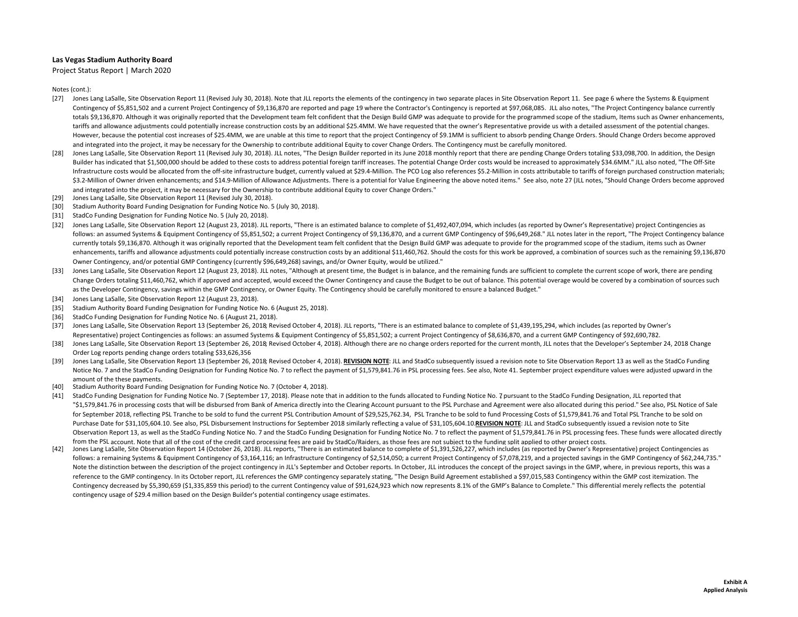Project Status Report | March 2020

- [27] Jones Lang LaSalle, Site Observation Report 11 (Revised July 30, 2018). Note that JLL reports the elements of the contingency in two separate places in Site Observation Report 11. See page 6 where the Systems & Equipm Contingency of \$5,851,502 and <sup>a</sup> current Project Contingency of \$9,136,870 are reported and page 19 where the Contractor's Contingency is reported at \$97,068,085. JLL also notes, "The Project Contingency balance currently totals \$9,136,870. Although it was originally reported that the Development team felt confident that the Design Build GMP was adequate to provide for the programmed scope of the stadium, Items such as Owner enhancements, tariffs and allowance adjustments could potentially increase construction costs by an additional \$25.4MM. We have requested that the owner's Representative provide us with <sup>a</sup> detailed assessment of the potential changes. However, because the potential cost increases of \$25.4MM, we are unable at this time to report that the project Contingency of \$9.1MM is sufficient to absorb pending Change Orders. Should Change Orders become approved and integrated into the project, it may be necessary for the Ownership to contribute additional Equity to cover Change Orders. The Contingency must be carefully monitored.
- [28] Jones Lang LaSalle, Site Observation Report 11 (Revised July 30, 2018). JLL notes, "The Design Builder reported in its June 2018 monthly report that there are pending Change Orders totaling \$33,098,700. In addition, t Builder has indicated that \$1,500,000 should be added to these costs to address potential foreign tariff increases. The potential Change Order costs would be increased to approximately \$34.6MM." JLL also noted, "The Off‐Si Infrastructure costs would be allocated from the off-site infrastructure budget, currently valued at \$29.4-Million. The PCO Log also references \$5.2-Million in costs attributable to tariffs of foreign purchased constructio \$3.2-Million of Owner driven enhancements; and \$14.9-Million of Allowance Adjustments. There is a potential for Value Engineering the above noted items." See also, note 27 (JLL notes, "Should Change Orders become approved and integrated into the project, it may be necessary for the Ownership to contribute additional Equity to cover Change Orders."
- [29] Jones Lang LaSalle, Site Observation Report 11 (Revised July 30, 2018).
- [30] Stadium Authority Board Funding Designation for Funding Notice No. 5 (July 30, 2018).
- [31] StadCo Funding Designation for Funding Notice No. 5 (July 20, 2018).
- [32] Jones Lang LaSalle, Site Observation Report 12 (August 23, 2018). JLL reports, "There is an estimated balance to complete of \$1,492,407,094, which includes (as reported by Owner's Representative) project Contingencies follows: an assumed Systems & Equipment Contingency of \$5,851,502; a current Project Contingency of \$9,136,870, and a current GMP Contingency of \$96,649,268." JLL notes later in the report, "The Project Contingency balance currently totals \$9,136,870. Although it was originally reported that the Development team felt confident that the Design Build GMP was adequate to provide for the programmed scope of the stadium, items such as Owner enhancements, tariffs and allowance adjustments could potentially increase construction costs by an additional \$11.460.762. Should the costs for this work be approved, a combination of sources such as the remaining \$9.136. Owner Contingency, and/or potential GMP Contingency (currently \$96,649,268) savings, and/or Owner Equity, would be utilized."
- [33] Jones Lang LaSalle, Site Observation Report 12 (August 23, 2018). JLL notes, "Although at present time, the Budget is in balance, and the remaining funds are sufficient to complete the current scope of work, there are pend Change Orders totaling \$11,460,762, which if approved and accepted, would exceed the Owner Contingency and cause the Budget to be out of balance. This potential overage would be covered by a combination of sources such as the Developer Contingency, savings within the GMP Contingency, or Owner Equity. The Contingency should be carefully monitored to ensure <sup>a</sup> balanced Budget."
- [34] Jones Lang LaSalle, Site Observation Report 12 (August 23, 2018).
- [35] Stadium Authority Board Funding Designation for Funding Notice No. 6 (August 25, 2018).
- [36] StadCo Funding Designation for Funding Notice No. 6 (August 21, 2018).
- [37] Jones Lang LaSalle, Site Observation Report 13 (September 26, 2018; Revised October 4, 2018). JLL reports, "There is an estimated balance to complete of \$1,439,195,294, which includes (as reported by Owner's Representative) project Contingencies as follows: an assumed Systems & Equipment Contingency of \$5,851,502; a current Project Contingency of \$8,636,870, and a current GMP Contingency of \$92,690,782.
- [38] Jones Lang LaSalle, Site Observation Report 13 (September 26, 2018; Revised October 4, 2018). Although there are no change orders reported for the current month, JLL notes that the Developer's September 24, 2018 Change Order Log reports pending change orders totaling \$33,626,356
- [39] Jones Lang LaSalle, Site Observation Report 13 (September 26, 2018; Revised October 4, 2018). <u>REVISION NOTE</u>: JLL and StadCo subsequently issued a revision note to Site Observation Report 13 as well as the StadCo Funding Notice No. 7 and the StadCo Funding Designation for Funding Notice No. 7 to reflect the payment of \$1,579,841.76 in PSL processing fees. See also, Note 41. September project expenditure values were adjusted upward in the amount of the these payments.
- [40] Stadium Authority Board Funding Designation for Funding Notice No. 7 (October 4, 2018).
- [41] StadCo Funding Designation for Funding Notice No. 7 (September 17, 2018). Please note that in addition to the funds allocated to Funding Notice No. 7 pursuant to the StadCo Funding Designation, JLL reported that "\$1.579.841.76 in processing costs that will be disbursed from Bank of America directly into the Clearing Account pursuant to the PSL Purchase and Agreement were also allocated during this period." See also, PSL Notice of for September 2018, reflecting PSL Tranche to be sold to fund the current PSL Contribution Amount of \$29,525,762.34, PSL Tranche to be sold to fund Processing Costs of \$1,579,841.76 and Total PSL Tranche to be sold on Purchase Date for \$31,105,604.10. See also, PSL Disbursement Instructions for September 2018 similarly reflecting a value of \$31,105,604.10.REVISION NOTE: JLL and StadCo subsequently issued a revision note to Site Observation Report 13, as well as the StadCo Funding Notice No. 7 and the StadCo Funding Designation for Funding Notice No. 7 to reflect the payment of \$1,579,841.76 in PSL processing fees. These funds were allocated direc from the PSL account. Note that all of the cost of the credit card processing fees are paid by StadCo/Raiders. as those fees are not subiect to the funding split applied to other proiect costs.
- $[42]$ Jones Lang LaSalle, Site Observation Report 14 (October 26, 2018). JLL reports, "There is an estimated balance to complete of \$1,391,526,227, which includes (as reported by Owner's Representative) project Contingencies as follows: a remaining Systems & Equipment Contingency of \$3,164,116; an Infrastructure Contingency of \$2,514,050; <sup>a</sup> current Project Contingency of \$7,078,219, and <sup>a</sup> projected savings in the GMP Contingency of \$62,244,735." Note the distinction between the description of the project contingency in JLL's September and October reports. In October, JLL introduces the concept of the project savings in the GMP, where, in previous reports, this was reference to the GMP contingency. In its October report, JLL references the GMP contingency separately stating, "The Design Build Agreement established a \$97,015,583 Contingency within the GMP cost itemization. The Contingency decreased by \$5,390,659 (\$1,335,859 this period) to the current Contingency value of \$91,624,923 which now represents 8.1% of the GMP's Balance to Complete." This differential merely reflects the potential contingency usage of \$29.4 million based on the Design Builder's potential contingency usage estimates.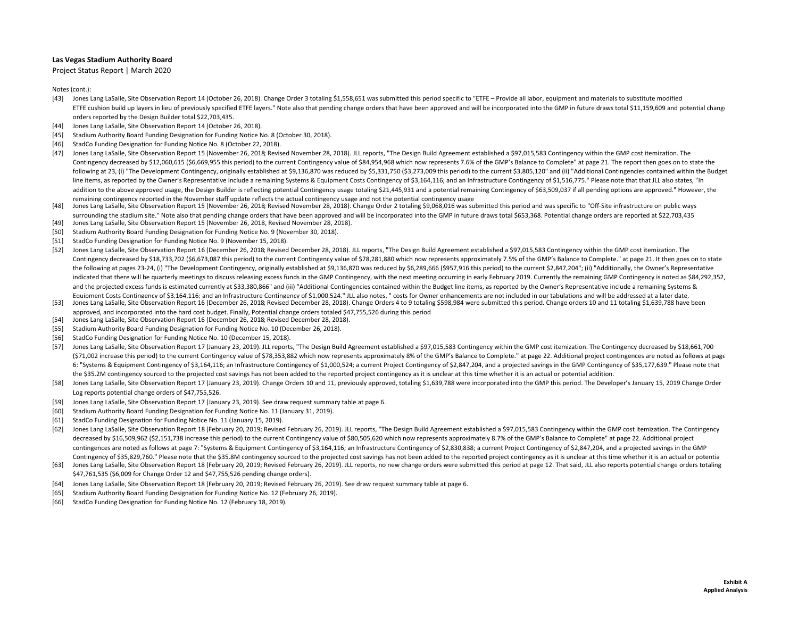Project Status Report | March 2020

- [43] Jones Lang LaSalle, Site Observation Report <sup>14</sup> (October 26, 2018). Change Order 3 totaling \$1,558,651 was submitted this period specific to "ETFE Provide all labor, equipment and materials to substitute modified ETFE cushion build up layers in lieu of previously specified ETFE layers." Note also that pending change orders that have been approved and will be incorporated into the GMP in future draws total \$11,159,609 and potential orders reported by the Design Builder total \$22,703,435.
- [44] Jones Lang LaSalle, Site Observation Report 14 (October 26, 2018).
- [45] Stadium Authority Board Funding Designation for Funding Notice No. 8 (October 30, 2018).
- [46] StadCo Funding Designation for Funding Notice No. 8 (October 22, 2018).
- [47] Jones Lang LaSalle, Site Observation Report <sup>15</sup> (November 26, 2018; Revised November 28, 2018). JLL reports, "The Design Build Agreement established <sup>a</sup> \$97,015,583 Contingency within the GMP cost itemization. The Contingency decreased by \$12,060,615 (\$6,669,955 this period) to the current Contingency value of \$84,954,968 which now represents 7.6% of the GMP's Balance to Complete" at page 21. The report then goes on to state the following at 23, (i) "The Development Contingency, originally established at \$9,136,870 was reduced by \$5,331,750 (\$3,273,009 this period) to the current \$3,805,120" and (ii) "Additional Contingencies contained within the line items, as reported by the Owner's Representative include a remaining Systems & Equipment Costs Contingency of \$3,164,116; and an Infrastructure Contingency of \$1,516,775." Please note that that JLL also states, "In addition to the above approved usage, the Design Builder is reflecting potential Contingency usage totaling \$21,445,931 and a potential remaining Contingency of \$63,509,037 if all pending options are approved." However, th remaining contingency reported in the November staff update reflects the actual contingency usage and not the potential contingency usage
- [48] Jones Lang LaSalle, Site Observation Report 15 (November 26, 2018; Revised November 28, 2018). Change Order 2 totaling \$9,068,016 was submitted this period and was specific to "Off-Site infrastructure on public ways surrounding the stadium site." Note also that pending change orders that have been approved and will be incorporated into the GMP in future draws total \$653,368. Potential change orders are reported at \$22,703,435
- [49] Jones Lang LaSalle, Site Observation Report 15 (November 26, 2018, Revised November 28, 2018).
- [50] Stadium Authority Board Funding Designation for Funding Notice No. 9 (November 30, 2018).
- [51] StadCo Funding Designation for Funding Notice No. 9 (November 15, 2018).
- [52] Jones Lang LaSalle, Site Observation Report 16 (December 26, 2018; Revised December 28, 2018). JLL reports, "The Design Build Agreement established a \$97,015,583 Contingency within the GMP cost itemization. The Contingency decreased by \$18,733,702 (\$6,673,087 this period) to the current Contingency value of \$78,281,880 which now represents approximately 7.5% of the GMP's Balance to Complete." at page 21. It then goes on to state the following at pages 23‐24, (i) "The Development Contingency, originally established at \$9,136,870 was reduced by \$6,289,666 (\$957,916 this period) to the current \$2,847,204"; (ii) "Additionally, the Owner's Representative indicated that there will be quarterly meetings to discuss releasing excess funds in the GMP Contingency, with the next meeting occurring in early February 2019. Currently the remaining GMP Contingency is noted as \$84,292, and the projected excess funds is estimated currently at \$33,380,866" and (iii) "Additional Contingencies contained within the Budget line items, as reported by the Owner's Representative include a remaining Systems &
- [53] Equipment Costs Contingency of \$3,164,116; and an Infrastructure Contingency of \$1,000,524." JLL also notes, " costs for Owner enhancements are not included in our tabulations and will be addressed at a later date. Jones Lang LaSalle, Site Observation Report 16 (December 26, 2018; Revised December 28, 2018). Change Orders <sup>4</sup> to 9 totaling \$598,984 were submitted this period. Change orders 10 and <sup>11</sup> totaling \$1,639,788 have been approved, and incorporated into the hard cost budget. Finally, Potential change orders totaled \$47,755,526 during this period
- [54] Jones Lang LaSalle, Site Observation Report 16 (December 26, 2018; Revised December 28, 2018).
- [55] Stadium Authority Board Funding Designation for Funding Notice No. 10 (December 26, 2018).
- [56] StadCo Funding Designation for Funding Notice No. 10 (December 15, 2018).
- [57] Jones Lang LaSalle, Site Observation Report <sup>17</sup> (January 23, 2019). JLL reports, "The Design Build Agreement established <sup>a</sup> \$97,015,583 Contingency within the GMP cost itemization. The Contingency decreased by \$18,661,700 (\$71,002 increase this period) to the current Contingency value of \$78,353,882 which now represents approximately 8% of the GMP's Balance to Complete." at page 22. Additional project contingences are noted as follows at page 6: "Systems & Equipment Contingency of \$3,164,116; an Infrastructure Contingency of \$1,000,524; a current Project Contingency of \$2,847,204, and a projected savings in the GMP Contingency of \$35,177,639." Please note that the \$35.2M contingency sourced to the projected cost savings has not been added to the reported project contingency as it is unclear at this time whether it is an actual or potential addition.
- [58] Jones Lang LaSalle, Site Observation Report 17 (January 23, 2019). Change Orders 10 and 11, previously approved, totaling \$1,639,788 were incorporated into the GMP this period. The Developer's January 15, 2019 Change Log reports potential change orders of \$47,755,526.
- [59] Jones Lang LaSalle, Site Observation Report 17 (January 23, 2019). See draw request summary table at page 6.
- [60] Stadium Authority Board Funding Designation for Funding Notice No. 11 (January 31, 2019).
- [61] StadCo Funding Designation for Funding Notice No. 11 (January 15, 2019).
- [62] Jones Lang LaSalle, Site Observation Report 18 (February 20, 2019; Revised February 26, 2019). JLL reports, "The Design Build Agreement established a \$97,015,583 Contingency within the GMP cost itemization. The Contin decreased by \$16,509,962 (\$2,151,738 increase this period) to the current Contingency value of \$80,505,620 which now represents approximately 8.7% of the GMP's Balance to Complete" at page 22. Additional project contingences are noted as follows at page 7: "Systems & Equipment Contingency of \$3,164,116; an Infrastructure Contingency of \$2,830,838; a current Project Contingency of \$2,847,204, and a projected savings in the GMP Contingency of \$35,829,760." Please note that the \$35.8M contingency sourced to the projected cost savings has not been added to the reported project contingency as it is unclear at this time whether it is an actual or pot
- [63] Jones Lang LaSalle, Site Observation Report 18 (February 20, 2019; Revised February 26, 2019). JLL reports, no new change orders were submitted this period at page 12. That said, JLL also reports potential change orde \$47,761,535 (\$6,009 for Change Order <sup>12</sup> and \$47,755,526 pending change orders).
- [64] Jones Lang LaSalle, Site Observation Report 18 (February 20, 2019; Revised February 26, 2019). See draw request summary table at page 6.
- [65] Stadium Authority Board Funding Designation for Funding Notice No. 12 (February 26, 2019).
- [66] StadCo Funding Designation for Funding Notice No. 12 (February 18, 2019).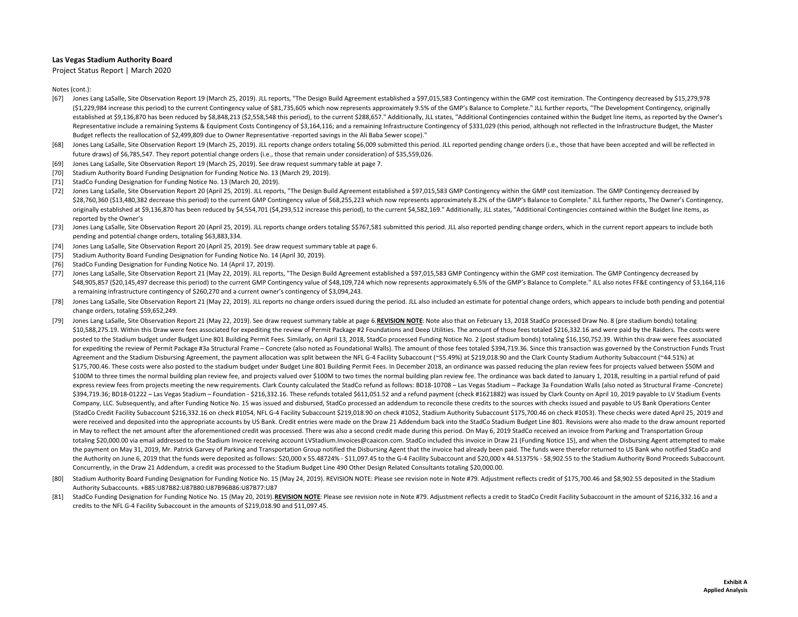Project Status Report | March 2020

- [67] Jones Lang LaSalle, Site Observation Report 19 (March 25, 2019). JLL reports, "The Design Build Agreement established <sup>a</sup> \$97,015,583 Contingency within the GMP cost itemization. The Contingency decreased by \$15,279,978 (\$1,229,984 increase this period) to the current Contingency value of \$81,735,605 which now represents approximately 9.5% of the GMP's Balance to Complete." JLL further reports, "The Development Contingency, originally established at \$9,136,870 has been reduced by \$8,848,213 (\$2,558,548 this period), to the current \$288,657." Additionally, JLL states, "Additional Contingencies contained within the Budget line items, as reported by the Ow Representative include a remaining Systems & Equipment Costs Contingency of \$3,164,116; and a remaining Infrastructure Contingency of \$331,029 (this period, although not reflected in the Infrastructure Budget, the Master Budget reflects the reallocation of \$2,499,809 due to Owner Representative -reported savings in the Ali Baba Sewer scope)."
- [68] Jones Lang LaSalle, Site Observation Report 19 (March 25, 2019). JLL reports change orders totaling \$6,009 submitted this period. JLL reported pending change orders (i.e., those that have been accepted and will be ref future draws) of \$6,785,547. They report potential change orders (i.e., those that remain under consideration) of \$35,559,026.
- [69] Jones Lang LaSalle, Site Observation Report 19 (March 25, 2019). See draw request summary table at page 7.
- [70] Stadium Authority Board Funding Designation for Funding Notice No. 13 (March 29, 2019).
- [71] StadCo Funding Designation for Funding Notice No. 13 (March 20, 2019).
- [72] Jones Lang LaSalle, Site Observation Report 20 (April 25, 2019). JLL reports, "The Design Build Agreement established <sup>a</sup> \$97,015,583 GMP Contingency within the GMP cost itemization. The GMP Contingency decreased by \$28,760,360 (\$13,480,382 decrease this period) to the current GMP Contingency value of \$68,255,223 which now represents approximately 8.2% of the GMP's Balance to Complete." JLL further reports, The Owner's Contingency, originally established at \$9,136,870 has been reduced by \$4,554,701 (\$4,293,512 increase this period), to the current \$4,582,169." Additionally, JLL states, "Additional Contingencies contained within the Budget line items, reported by the Owner's
- [73] Jones Lang LaSalle, Site Observation Report 20 (April 25, 2019). JLL reports change orders totaling \$\$767,581 submitted this period. JLL also reported pending change orders, which in the current report appears to incl pending and potential change orders, totaling \$63,883,334.
- [74] Jones Lang LaSalle, Site Observation Report 20 (April 25, 2019). See draw request summary table at page 6.
- [75] Stadium Authority Board Funding Designation for Funding Notice No. 14 (April 30, 2019).
- [76] StadCo Funding Designation for Funding Notice No. 14 (April 17, 2019).
- [77] Jones Lang LaSalle, Site Observation Report <sup>21</sup> (May 22, 2019). JLL reports, "The Design Build Agreement established <sup>a</sup> \$97,015,583 GMP Contingency within the GMP cost itemization. The GMP Contingency decreased by \$48,905,857 (\$20,145,497 decrease this period) to the current GMP Contingency value of \$48,109,724 which now represents approximately 6.5% of the GMP's Balance to Complete." JLL also notes FF&E contingency of \$3,164,116 a remaining infrastructure contingency of \$260,270 and <sup>a</sup> current owner's contingency of \$3,094,243.
- [78] Jones Lang LaSalle, Site Observation Report 21 (May 22, 2019). JLL reports no change orders issued during the period. JLL also included an estimate for potential change orders, which appears to include both pending an change orders, totaling \$59,652,249.
- [79] Jones Lang LaSalle, Site Observation Report 21 (May 22, 2019). See draw request summary table at page 6.REVISION NOTE: Note also that on February 13, 2018 StadCo processed Draw No. 8 (pre stadium bonds) totaling \$10,588,275.19. Within this Draw were fees associated for expediting the review of Permit Package #2 Foundations and Deep Utilities. The amount of those fees totaled \$216,332.16 and were paid by the Raiders. The costs were posted to the Stadium budget under Budget Line 801 Building Permit Fees. Similarly, on April 13, 2018, StadCo processed Funding Notice No. 2 (post stadium bonds) totaling \$16,150,752.39. Within this draw were fees associat for expediting the review of Permit Package #3a Structural Frame – Concrete (also noted as Foundational Walls). The amount of those fees totaled \$394,719.36. Since this transaction was governed by the Construction Funds Tr Agreement and the Stadium Disbursing Agreement, the payment allocation was split between the NFL G-4 Facility Subaccount (~55.49%) at \$219,018.90 and the Clark County Stadium Authority Subaccount (~44.51%) at \$175,700.46. These costs were also posted to the stadium budget under Budget Line 801 Building Permit Fees. In December 2018, an ordinance was passed reducing the plan review fees for projects valued between \$50M and \$100M to three times the normal building plan review fee, and projects valued over \$100M to two times the normal building plan review fee. The ordinance was back dated to January 1, 2018, resulting in a partial refund of p express review fees from projects meeting the new requirements. Clark County calculated the StadCo refund as follows: BD18-10708 - Las Vegas Stadium - Package 3a Foundation Walls (also noted as Structural Frame -Concrete) \$394,719.36; BD18‐01222 – Las Vegas Stadium – Foundation ‐ \$216,332.16. These refunds totaled \$611,051.52 and <sup>a</sup> refund payment (check #1621882) was issued by Clark County on April 10, 2019 payable to LV Stadium Events Company, LLC. Subsequently, and after Funding Notice No. 15 was issued and disbursed, StadCo processed an addendum to reconcile these credits to the sources with checks issued and payable to US Bank Operations Center (StadCo Credit Facility Subaccount \$216,332.16 on check #1054, NFL G‐<sup>4</sup> Facility Subaccount \$219,018.90 on check #1052, Stadium Authority Subaccount \$175,700.46 on check #1053). These checks were dated April 25, 2019 and were received and deposited into the appropriate accounts by US Bank. Credit entries were made on the Draw 21 Addendum back into the StadCo Stadium Budget Line 801. Revisions were also made to the draw amount reported in May to reflect the net amount after the aforementioned credit was processed. There was also a second credit made during this period. On May 6, 2019 StadCo received an invoice from Parking and Transportation Group totaling \$20,000.00 via email addressed to the Stadium Invoice receiving account LVStadium.Invoices@caaicon.com. StadCo included this invoice in Draw <sup>21</sup> (Funding Notice 15), and when the Disbursing Agent attempted to make the payment on May 31, 2019, Mr. Patrick Garvey of Parking and Transportation Group notified the Disbursing Agent that the invoice had already been paid. The funds were therefor returned to US Bank who notified StadCo and the Authority on June 6, 2019 that the funds were deposited as follows: \$20,000 <sup>x</sup> 55.48724% ‐ \$11,097.45 to the G‐<sup>4</sup> Facility Subaccount and \$20,000 <sup>x</sup> 44.51375% ‐ \$8,902.55 to the Stadium Authority Bond Proceeds Subaccount. Concurrently, in the Draw <sup>21</sup> Addendum, <sup>a</sup> credit was processed to the Stadium Budget Line 490 Other Design Related Consultants totaling \$20,000.00.
- [80] Stadium Authority Board Funding Designation for Funding Notice No. 15 (May 24, 2019). REVISION NOTE: Please see revision note in Note #79. Adjustment reflects credit of \$175,700.46 and \$8,902.55 deposited in the Stadi Authority Subaccounts. +B85:U87B82:U87B80:U87B96B86:U87B77:U87
- [81] StadCo Funding Designation for Funding Notice No. 15 (May 20, 2019). REVISION NOTE: Please see revision note in Note #79. Adjustment reflects a credit to StadCo Credit Facility Subaccount in the amount of \$216,332.16 and a credits to the NFL G‐<sup>4</sup> Facility Subaccount in the amounts of \$219,018.90 and \$11,097.45.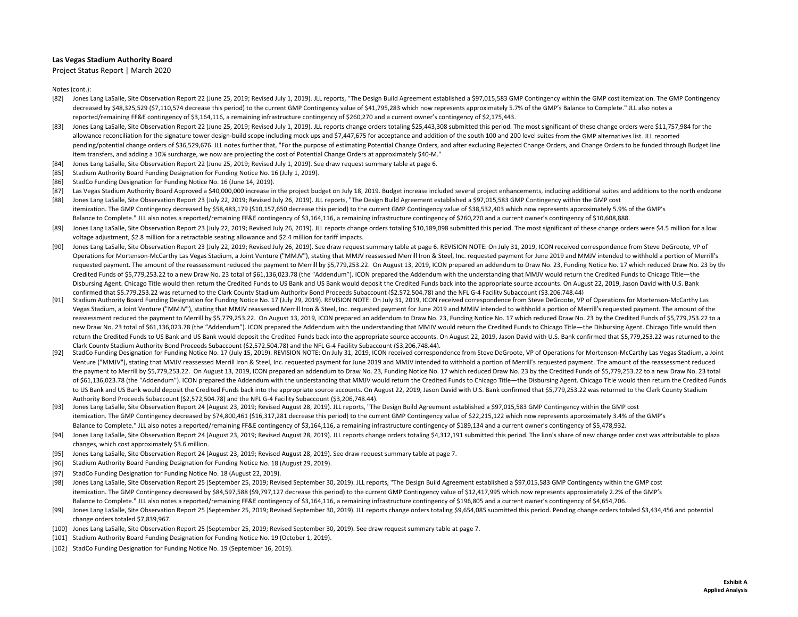Project Status Report | March 2020

- [82] Jones Lang LaSalle, Site Observation Report 22 (June 25, 2019; Revised July 1, 2019). JLL reports, "The Design Build Agreement established a \$97,015,583 GMP Contingency within the GMP cost itemization. The GMP Conting decreased by \$48,325,529 (\$7,110,574 decrease this period) to the current GMP Contingency value of \$41,795,283 which now represents approximately 5.7% of the GMP's Balance to Complete." JLL also notes a reported/remaining FF&E contingency of \$3,164,116, <sup>a</sup> remaining infrastructure contingency of \$260,270 and <sup>a</sup> current owner's contingency of \$2,175,443.
- [83] Jones Lang LaSalle, Site Observation Report 22 (June 25, 2019; Revised July 1, 2019). JLL reports change orders totaling \$25,443,308 submitted this period. The most significant of these change orders were \$11,757,984 for t allowance reconciliation for the signature tower design‐build scope including mock ups and \$7,447,675 for acceptance and addition of the south 100 and 200 level suites from the GMP alternatives list. JLL reported pending/potential change orders of \$36,529,676. JLL notes further that, "For the purpose of estimating Potential Change Orders, and after excluding Rejected Change Orders, and Change Orders to be funded through Budget line item transfers, and adding <sup>a</sup> 10% surcharge, we now are projecting the cost of Potential Change Orders at approximately \$40‐M."
- [84] Jones Lang LaSalle, Site Observation Report 22 (June 25, 2019; Revised July 1, 2019). See draw request summary table at page 6.
- [85] Stadium Authority Board Funding Designation for Funding Notice No. 16 (July 1, 2019).
- [86] StadCo Funding Designation for Funding Notice No. 16 (June 14, 2019).
- [87] Las Vegas Stadium Authority Board Approved a \$40,000,000 increase in the project budget on July 18, 2019. Budget increase included several project enhancements, including additional suites and additions to the north e
- [88] Jones Lang LaSalle, Site Observation Report 23 (July 22, 2019; Revised July 26, 2019). JLL reports, "The Design Build Agreement established <sup>a</sup> \$97,015,583 GMP Contingency within the GMP cost itemization. The GMP Contingency decreased by \$58,483,179 (\$10,157,650 decrease this period) to the current GMP Contingency value of \$38,532,403 which now represents approximately 5.9% of the GMP's Balance to Complete." JLL also notes <sup>a</sup> reported/remaining FF&E contingency of \$3,164,116, <sup>a</sup> remaining infrastructure contingency of \$260,270 and <sup>a</sup> current owner's contingency of \$10,608,888.
- [89] Jones Lang LaSalle, Site Observation Report 23 (July 22, 2019; Revised July 26, 2019). JLL reports change orders totaling \$10,189,098 submitted this period. The most significant of these change orders were \$4.5 millio voltage adjustment, \$2.8 million for <sup>a</sup> retractable seating allowance and \$2.4 million for tariff impacts.
- [90] Jones Lang LaSalle, Site Observation Report 23 (July 22, 2019; Revised July 26, 2019). See draw request summary table at page 6. REVISION NOTE: On July 31, 2019, ICON received correspondence from Steve DeGroote, VP of Operations for Mortenson-McCarthy Las Vegas Stadium, a Joint Venture ("MMJV"), stating that MMJV reassessed Merrill Iron & Steel, Inc. requested payment for June 2019 and MMJV intended to withhold a portion of Merrill's requested payment. The amount of the reassessment reduced the payment to Merrill by \$5,779,253.22. On August 13, 2019, ICON prepared an addendum to Draw No. 23, Funding Notice No. 17 which reduced Draw No. 23 by the Credited Funds of \$5,779,253.22 to <sup>a</sup> new Draw No. 23 total of \$61,136,023.78 (the "Addendum"). ICON prepared the Addendum with the understanding that MMJV would return the Credited Funds to Chicago Title—the Disbursing Agent. Chicago Title would then return the Credited Funds to US Bank and US Bank would deposit the Credited Funds back into the appropriate source accounts. On August 22, 2019, Jason David with U.S. Bank confirmed that \$5,779,253.22 was returned to the Clark County Stadium Authority Bond Proceeds Subaccount (\$2,572,504.78) and the NFL G‐<sup>4</sup> Facility Subaccount (\$3,206,748.44)
- [91] Stadium Authority Board Funding Designation for Funding Notice No. 17 (July 29, 2019). REVISION NOTE: On July 31, 2019, ICON received correspondence from Steve DeGroote, VP of Operations for Mortenson‐McCarthy Las Vegas Stadium, a Joint Venture ("MMJV"), stating that MMJV reassessed Merrill Iron & Steel, Inc. requested payment for June 2019 and MMJV intended to withhold a portion of Merrill's requested payment. The amount of the reassessment reduced the payment to Merrill by \$5,779,253.22. On August 13, 2019, ICON prepared an addendum to Draw No. 23, Funding Notice No. 17 which reduced Draw No. 23 by the Credited Funds of \$5,779,253.22 to a new Draw No. 23 total of \$61,136,023.78 (the "Addendum"). ICON prepared the Addendum with the understanding that MMJV would return the Credited Funds to Chicago Title—the Disbursing Agent. Chicago Title would then return the Credited Funds to US Bank and US Bank would deposit the Credited Funds back into the appropriate source accounts. On August 22, 2019, Jason David with U.S. Bank confirmed that \$5,779,253.22 was returned to the Clark County Stadium Authority Bond Proceeds Subaccount (\$2,572,504.78) and the NFL G‐<sup>4</sup> Facility Subaccount (\$3,206,748.44).
- [92] StadCo Funding Designation for Funding Notice No. 17 (July 15, 2019). REVISION NOTE: On July 31, 2019, ICON received correspondence from Steve DeGroote, VP of Operations for Mortenson‐McCarthy Las Vegas Stadium, <sup>a</sup> Joint Venture ("MMJV"), stating that MMJV reassessed Merrill Iron & Steel, Inc. requested payment for June 2019 and MMJV intended to withhold <sup>a</sup> portion of Merrill's requested payment. The amount of the reassessment reduced the payment to Merrill by \$5,779,253.22. On August 13, 2019, ICON prepared an addendum to Draw No. 23, Funding Notice No. 17 which reduced Draw No. 23 by the Credited Funds of \$5,779,253.22 to a new Draw No. 23 total of \$61,136,023.78 (the "Addendum"). ICON prepared the Addendum with the understanding that MMJV would return the Credited Funds to Chicago Title—the Disbursing Agent. Chicago Title would then return the Credited Funds to US Bank and US Bank would deposit the Credited Funds back into the appropriate source accounts. On August 22, 2019, Jason David with U.S. Bank confirmed that \$5,779,253.22 was returned to the Clark County Stadium Authority Bond Proceeds Subaccount (\$2,572,504.78) and the NFL G‐<sup>4</sup> Facility Subaccount (\$3,206,748.44).
- [93] Jones Lang LaSalle, Site Observation Report 24 (August 23, 2019; Revised August 28, 2019). JLL reports, "The Design Build Agreement established a \$97,015,583 GMP Contingency within the GMP cost itemization. The GMP Contingency decreased by \$74,800,461 (\$16,317,281 decrease this period) to the current GMP Contingency value of \$22,215,122 which now represents approximately 3.4% of the GMP's Balance to Complete." JLL also notes <sup>a</sup> reported/remaining FF&E contingency of \$3,164,116, <sup>a</sup> remaining infrastructure contingency of \$189,134 and <sup>a</sup> current owner's contingency of \$5,478,932.
- [94] Jones Lang LaSalle, Site Observation Report 24 (August 23, 2019; Revised August 28, 2019). JLL reports change orders totaling \$4,312,191 submitted this period. The lion's share of new change order cost was attributabl changes, which cost approximately \$3.6 million.
- [95] Jones Lang LaSalle, Site Observation Report 24 (August 23, 2019; Revised August 28, 2019). See draw request summary table at page 7.
- [96] Stadium Authority Board Funding Designation for Funding Notice No. 18 (August 29, 2019).
- [97] StadCo Funding Designation for Funding Notice No. 18 (August 22, 2019).
- [98] Jones Lang LaSalle, Site Observation Report 25 (September 25, 2019; Revised September 30, 2019). JLL reports, "The Design Build Agreement established <sup>a</sup> \$97,015,583 GMP Contingency within the GMP cost itemization. The GMP Contingency decreased by \$84,597,588 (\$9,797,127 decrease this period) to the current GMP Contingency value of \$12,417,995 which now represents approximately 2.2% of the GMP's Balance to Complete." JLL also notes <sup>a</sup> reported/remaining FF&E contingency of \$3,164,116, <sup>a</sup> remaining infrastructure contingency of \$196,805 and <sup>a</sup> current owner's contingency of \$4,654,706.
- [99] Jones Lang LaSalle, Site Observation Report 25 (September 25, 2019; Revised September 30, 2019). JLL reports change orders totaling \$9,654,085 submitted this period. Pending change orders totaled \$3,434,456 and potent change orders totaled \$7,839,967.
- [100] Jones Lang LaSalle, Site Observation Report 25 (September 25, 2019; Revised September 30, 2019). See draw request summary table at page 7.
- [101] Stadium Authority Board Funding Designation for Funding Notice No. 19 (October 1, 2019).
- [102] StadCo Funding Designation for Funding Notice No. 19 (September 16, 2019).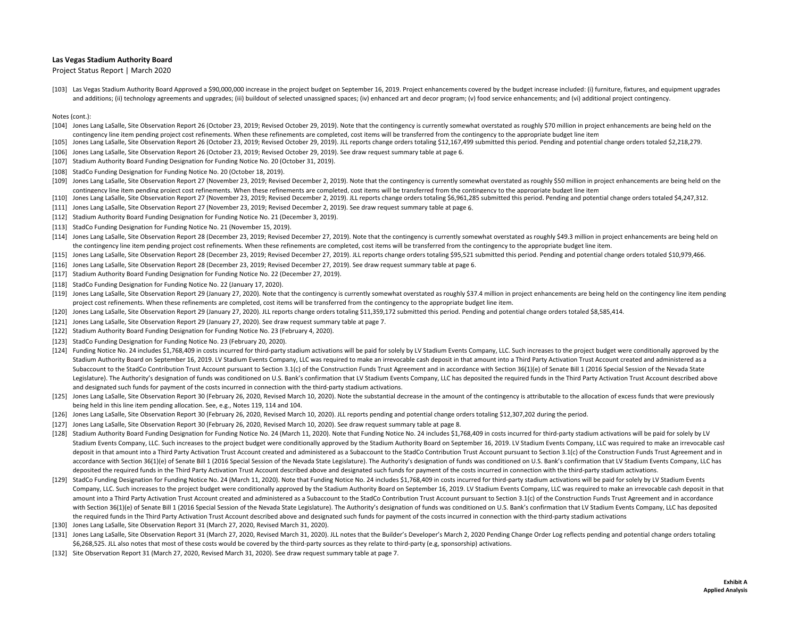Project Status Report | March 2020

[103] Las Vegas Stadium Authority Board Approved a \$90,000,000 increase in the project budget on September 16, 2019. Project enhancements covered by the budget increase included: (i) furniture, fixtures, and equipment upgr and additions; (ii) technology agreements and upgrades; (iii) buildout of selected unassigned spaces; (iv) enhanced art and decor program; (v) food service enhancements; and (vi) additional project contingency.

- [104] Jones Lang LaSalle, Site Observation Report 26 (October 23, 2019; Revised October 29, 2019). Note that the contingency is currently somewhat overstated as roughly \$70 million in project enhancements are being held on contingency line item pending project cost refinements. When these refinements are completed, cost items will be transferred from the contingency to the appropriate budget line item
- [105] Jones Lang LaSalle, Site Observation Report 26 (October 23, 2019; Revised October 29, 2019). JLL reports change orders totaling \$12,167,499 submitted this period. Pending and potential change orders totaled \$2,218,279.
- [106] Jones Lang LaSalle, Site Observation Report 26 (October 23, 2019; Revised October 29, 2019). See draw request summary table at page 6.
- [107] Stadium Authority Board Funding Designation for Funding Notice No. 20 (October 31, 2019).
- [108] StadCo Funding Designation for Funding Notice No. 20 (October 18, 2019).
- [109] Jones Lang LaSalle, Site Observation Report 27 (November 23, 2019; Revised December 2, 2019). Note that the contingency is currently somewhat overstated as roughly \$50 million in project enhancements are being held o contingency line item pending project cost refinements. When these refinements are completed, cost items will be transferred from the contingency to the appropriate budget line item
- [110] Jones Lang LaSalle, Site Observation Report 27 (November 23, 2019; Revised December 2, 2019). JLL reports change orders totaling \$6,961,285 submitted this period. Pending and potential change orders totaled \$4,247,31
- [111] Jones Lang LaSalle, Site Observation Report 27 (November 23, 2019; Revised December 2, 2019). See draw request summary table at page 6.
- [112] Stadium Authority Board Funding Designation for Funding Notice No. 21 (December 3, 2019).
- [113] StadCo Funding Designation for Funding Notice No. 21 (November 15, 2019).
- [114] Jones Lang LaSalle, Site Observation Report 28 (December 23, 2019; Revised December 27, 2019). Note that the contingency is currently somewhat overstated as roughly \$49.3 million in project enhancements are being hel the contingency line item pending project cost refinements. When these refinements are completed, cost items will be transferred from the contingency to the appropriate budget line item.
- [115] Jones Lang LaSalle, Site Observation Report 28 (December 23, 2019; Revised December 27, 2019). JLL reports change orders totaling \$95,521 submitted this period. Pending and potential change orders totaled \$10,979,466
- [116] Jones Lang LaSalle, Site Observation Report 28 (December 23, 2019; Revised December 27, 2019). See draw request summary table at page 6.
- [117] Stadium Authority Board Funding Designation for Funding Notice No. 22 (December 27, 2019).
- [118] StadCo Funding Designation for Funding Notice No. 22 (January 17, 2020).
- [119] Jones Lang LaSalle, Site Observation Report 29 (January 27, 2020). Note that the contingency is currently somewhat overstated as roughly \$37.4 million in project enhancements are being held on the contingency line it project cost refinements. When these refinements are completed, cost items will be transferred from the contingency to the appropriate budget line item.
- [120] Jones Lang LaSalle, Site Observation Report 29 (January 27, 2020). JLL reports change orders totaling \$11,359,172 submitted this period. Pending and potential change orders totaled \$8,585,414.
- [121] Jones Lang LaSalle, Site Observation Report 29 (January 27, 2020). See draw request summary table at page 7.
- [122] Stadium Authority Board Funding Designation for Funding Notice No. 23 (February 4, 2020).
- [123] StadCo Funding Designation for Funding Notice No. 23 (February 20, 2020).
- [124] Funding Notice No. 24 includes \$1,768,409 in costs incurred for third-party stadium activations will be paid for solely by LV Stadium Events Company, LLC. Such increases to the project budget were conditionally appro Stadium Authority Board on September 16, 2019. LV Stadium Events Company, LLC was required to make an irrevocable cash deposit in that amount into <sup>a</sup> Third Party Activation Trust Account created and administered as <sup>a</sup> Subaccount to the StadCo Contribution Trust Account pursuant to Section 3.1(c) of the Construction Funds Trust Agreement and in accordance with Section 36(1)(e) of Senate Bill 1 (2016 Special Session of the Nevada State Legislature). The Authority's designation of funds was conditioned on U.S. Bank's confirmation that LV Stadium Events Company, LLC has deposited the required funds in the Third Party Activation Trust Account described abov and designated such funds for payment of the costs incurred in connection with the third‐party stadium activations.
- [125] Jones Lang LaSalle, Site Observation Report 30 (February 26, 2020, Revised March 10, 2020). Note the substantial decrease in the amount of the contingency is attributable to the allocation of excess funds that were p being held in this line item pending allocation. See, e.g., Notes 119, 114 and 104.
- [126] Jones Lang LaSalle, Site Observation Report 30 (February 26, 2020, Revised March 10, 2020). JLL reports pending and potential change orders totaling \$12,307,202 during the period.
- [127] Jones Lang LaSalle, Site Observation Report 30 (February 26, 2020, Revised March 10, 2020). See draw request summary table at page 8.
- [128] Stadium Authority Board Funding Designation for Funding Notice No. 24 (March 11, 2020). Note that Funding Notice No. 24 includes \$1,768,409 in costs incurred for third-party stadium activations will be paid for solel Stadium Events Company, LLC. Such increases to the project budget were conditionally approved by the Stadium Authority Board on September 16, 2019. LV Stadium Events Company, LLC was required to make an irrevocable cash deposit in that amount into a Third Party Activation Trust Account created and administered as a Subaccount to the StadCo Contribution Trust Account pursuant to Section 3.1(c) of the Construction Funds Trust Agreement and accordance with Section 36(1)(e) of Senate Bill 1 (2016 Special Session of the Nevada State Legislature). The Authority's designation of funds was conditioned on U.S. Bank's confirmation that LV Stadium Events Company, LLC deposited the required funds in the Third Party Activation Trust Account described above and designated such funds for payment of the costs incurred in connection with the third‐party stadium activations.
- [129] StadCo Funding Designation for Funding Notice No. 24 (March 11, 2020). Note that Funding Notice No. 24 includes \$1,768,409 in costs incurred for third-party stadium activations will be paid for solely by LV Stadium E Company, LLC. Such increases to the project budget were conditionally approved by the Stadium Authority Board on September 16, 2019. LV Stadium Events Company, LLC was required to make an irrevocable cash deposit in that amount into a Third Party Activation Trust Account created and administered as a Subaccount to the StadCo Contribution Trust Account pursuant to Section 3.1(c) of the Construction Funds Trust Agreement and in accordance with Section 36(1)(e) of Senate Bill 1 (2016 Special Session of the Nevada State Legislature). The Authority's designation of funds was conditioned on U.S. Bank's confirmation that LV Stadium Events Company, LLC has deposi the required funds in the Third Party Activation Trust Account described above and designated such funds for payment of the costs incurred in connection with the third‐party stadium activations
- [130] Jones Lang LaSalle, Site Observation Report 31 (March 27, 2020, Revised March 31, 2020).
- [131] Jones Lang LaSalle, Site Observation Report 31 (March 27, 2020, Revised March 31, 2020). JLL notes that the Builder's Developer's March 2, 2020 Pending Change Order Log reflects pending and potential change orders to \$6,268,525. JLL also notes that most of these costs would be covered by the third‐party sources as they relate to third‐party (e.g, sponsorship) activations.
- [132] Site Observation Report 31 (March 27, 2020, Revised March 31, 2020). See draw request summary table at page 7.